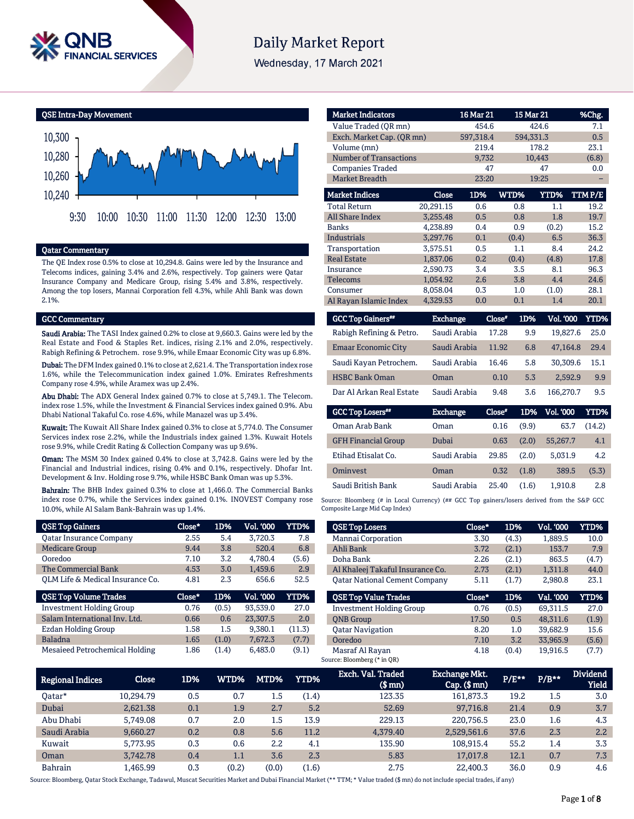

# **Daily Market Report**

Wednesday, 17 March 2021

QSE Intra-Day Movement



### Qatar Commentary

The QE Index rose 0.5% to close at 10,294.8. Gains were led by the Insurance and Telecoms indices, gaining 3.4% and 2.6%, respectively. Top gainers were Qatar Insurance Company and Medicare Group, rising 5.4% and 3.8%, respectively. Among the top losers, Mannai Corporation fell 4.3%, while Ahli Bank was down 2.1%.

#### GCC Commentary

Saudi Arabia: The TASI Index gained 0.2% to close at 9,660.3. Gains were led by the Real Estate and Food & Staples Ret. indices, rising 2.1% and 2.0%, respectively. Rabigh Refining & Petrochem. rose 9.9%, while Emaar Economic City was up 6.8%.

Dubai: The DFM Index gained 0.1% to close at 2,621.4. The Transportation index rose 1.6%, while the Telecommunication index gained 1.0%. Emirates Refreshments Company rose 4.9%, while Aramex was up 2.4%.

Abu Dhabi: The ADX General Index gained 0.7% to close at 5,749.1. The Telecom. index rose 1.5%, while the Investment & Financial Services index gained 0.9%. Abu Dhabi National Takaful Co. rose 4.6%, while Manazel was up 3.4%.

Kuwait: The Kuwait All Share Index gained 0.3% to close at 5,774.0. The Consumer Services index rose 2.2%, while the Industrials index gained 1.3%. Kuwait Hotels rose 9.9%, while Credit Rating & Collection Company was up 9.6%.

Oman: The MSM 30 Index gained 0.4% to close at 3,742.8. Gains were led by the Financial and Industrial indices, rising 0.4% and 0.1%, respectively. Dhofar Int. Development & Inv. Holding rose 9.7%, while HSBC Bank Oman was up 5.3%.

Bahrain: The BHB Index gained 0.3% to close at 1,466.0. The Commercial Banks index rose 0.7%, while the Services index gained 0.1%. INOVEST Company rose 10.0%, while Al Salam Bank-Bahrain was up 1.4%.

| <b>QSE Top Gainers</b>           | Close* | 1D%   | Vol. '000 | YTD%   |
|----------------------------------|--------|-------|-----------|--------|
| <b>Oatar Insurance Company</b>   | 2.55   | 5.4   | 3.720.3   | 7.8    |
| <b>Medicare Group</b>            | 9.44   | 3.8   | 520.4     | 6.8    |
| Ooredoo                          | 7.10   | 3.2   | 4.780.4   | (5.6)  |
| The Commercial Bank              | 4.53   | 3.0   | 1,459.6   | 2.9    |
| OLM Life & Medical Insurance Co. | 4.81   | 2.3   | 656.6     | 52.5   |
|                                  |        |       |           |        |
| <b>QSE Top Volume Trades</b>     | Close* | 1D%   | Vol. '000 | YTD%   |
| <b>Investment Holding Group</b>  | 0.76   | (0.5) | 93.539.0  | 27.0   |
| Salam International Inv. Ltd.    | 0.66   | 0.6   | 23,307.5  | 2.0    |
| <b>Ezdan Holding Group</b>       | 1.58   | 1.5   | 9.380.1   | (11.3) |
| <b>Baladna</b>                   | 1.65   | (1.0) | 7.672.3   | (7.7)  |

| <b>Market Indicators</b>      |           | 16 Mar 21 |       | 15 Mar 21   | %Chg.  |
|-------------------------------|-----------|-----------|-------|-------------|--------|
| Value Traded (OR mn)          |           | 454.6     |       | 424.6       | 7.1    |
| Exch. Market Cap. (OR mn)     |           | 597,318.4 |       | 594,331.3   | 0.5    |
| Volume (mn)                   |           | 219.4     |       | 178.2       | 23.1   |
| <b>Number of Transactions</b> |           | 9,732     |       | 10,443      | (6.8)  |
| <b>Companies Traded</b>       |           | 47        |       | 47          | 0.0    |
| <b>Market Breadth</b>         |           | 23:20     |       | 19:25       |        |
| <b>Market Indices</b>         | Close     | 1D%       | WTD%  | <b>YTD%</b> | TTMP/E |
| <b>Total Return</b>           | 20,291.15 | 0.6       | 0.8   | 1.1         | 19.2   |
| All Share Index               | 3,255.48  | 0.5       | 0.8   | 1.8         | 19.7   |
| <b>Banks</b>                  | 4,238.89  | 0.4       | 0.9   | (0.2)       | 15.2   |
| <b>Industrials</b>            | 3,297.76  | 0.1       | (0.4) | 6.5         | 36.3   |
| Transportation                | 3,575.51  | 0.5       | 1.1   | 8.4         | 24.2   |
| <b>Real Estate</b>            | 1.837.06  | 0.2       | (0.4) | (4.8)       | 17.8   |
| Insurance                     | 2.590.73  | 3.4       | 3.5   | 8.1         | 96.3   |
| Telecoms                      | 1,054.92  | 2.6       | 3.8   | 4.4         | 24.6   |
| Consumer                      | 8,058.04  | 0.3       | 1.0   | (1.0)       | 28.1   |
| Al Rayan Islamic Index        | 4.329.53  | 0.0       | 0.1   | 1.4         | 20.1   |

| <b>GCC Top Gainers</b>     | Exchange     | Close* | 1D% | <b>Vol. '000</b> | YTD% |
|----------------------------|--------------|--------|-----|------------------|------|
| Rabigh Refining & Petro.   | Saudi Arabia | 17.28  | 9.9 | 19,827.6         | 25.0 |
| <b>Emaar Economic City</b> | Saudi Arabia | 11.92  | 6.8 | 47.164.8         | 29.4 |
| Saudi Kayan Petrochem.     | Saudi Arabia | 16.46  | 5.8 | 30.309.6         | 15.1 |
| <b>HSBC Bank Oman</b>      | Oman         | 0.10   | 5.3 | 2,592.9          | 9.9  |
| Dar Al Arkan Real Estate   | Saudi Arabia | 9.48   | 3.6 | 166.270.7        | 9.5  |

| <b>GCC Top Losers</b>      | <b>Exchange</b> | Close" | 1D%   | Vol. '000 | YTD%   |
|----------------------------|-----------------|--------|-------|-----------|--------|
| Oman Arab Bank             | Oman            | 0.16   | (9.9) | 63.7      | (14.2) |
| <b>GFH Financial Group</b> | Dubai           | 0.63   | (2.0) | 55,267.7  | 4.1    |
| Etihad Etisalat Co.        | Saudi Arabia    | 29.85  | (2.0) | 5.031.9   | 4.2    |
| Ominyest                   | Oman            | 0.32   | (1.8) | 389.5     | (5.3)  |
| Saudi British Bank         | Saudi Arabia    | 25.40  | (1.6) | 1.910.8   | 2.8    |

Source: Bloomberg (# in Local Currency) (## GCC Top gainers/losers derived from the S&P GCC Composite Large Mid Cap Index)

| <b>QSE Top Losers</b>                | Close* | 1D%   | Vol. '000 | YTD%  |
|--------------------------------------|--------|-------|-----------|-------|
| Mannai Corporation                   | 3.30   | (4.3) | 1.889.5   | 10.0  |
| Ahli Bank                            | 3.72   | (2.1) | 153.7     | 7.9   |
| Doha Bank                            | 2.26   | (2.1) | 863.5     | (4.7) |
| Al Khaleej Takaful Insurance Co.     | 2.73   | (2.1) | 1.311.8   | 44.0  |
| <b>Oatar National Cement Company</b> | 5.11   | (1.7) | 2.980.8   | 23.1  |
|                                      |        |       |           |       |
| <b>OSE Top Value Trades</b>          | Close* | 1D%   | Val. '000 | YTD%  |
| <b>Investment Holding Group</b>      | 0.76   | (0.5) | 69.311.5  | 27.0  |
| <b>ONB</b> Group                     | 17.50  | 0.5   | 48.311.6  | (1.9) |
| <b>Qatar Navigation</b>              | 8.20   | 1.0   | 39.682.9  | 15.6  |
| Ooredoo                              | 7.10   | 3.2   | 33,965.9  | (5.6) |

| <b>Regional Indices</b> | Close     | 1D% | WTD%  | MTD%  | YTD%  | Exch. Val. Traded<br>(\$ mn) | Exchange Mkt.<br>$Cap.$ $(\$$ mn) | $P/E***$ | $P/B**$ | <b>Dividend</b><br><b>Yield</b> |
|-------------------------|-----------|-----|-------|-------|-------|------------------------------|-----------------------------------|----------|---------|---------------------------------|
| Oatar*                  | 10.294.79 | 0.5 | 0.7   | 1.5   | (1.4) | 123.35                       | 161,873.3                         | 19.2     | 1.5     | 3.0                             |
| Dubai                   | 2.621.38  | 0.1 | 1.9   | 2.7   | 5.2   | 52.69                        | 97,716.8                          | 21.4     | 0.9     | 3.7                             |
| Abu Dhabi               | 5.749.08  | 0.7 | 2.0   | 1.5   | 13.9  | 229.13                       | 220.756.5                         | 23.0     | 1.6     | 4.3                             |
| Saudi Arabia            | 9,660.27  | 0.2 | 0.8   | 5.6   | 11.2  | 4,379.40                     | 2,529,561.6                       | 37.6     | 2.3     | $2.2^{\circ}$                   |
| Kuwait                  | 5.773.95  | 0.3 | 0.6   | 2.2   | 4.1   | 135.90                       | 108.915.4                         | 55.2     | 1.4     | 3.3                             |
| Oman                    | 3.742.78  | 0.4 | 1.1   | 3.6   | 2.3   | 5.83                         | 17,017.8                          | 12.1     | 0.7     | 7.3                             |
| <b>Bahrain</b>          | 1.465.99  | 0.3 | (0.2) | (0.0) | (1.6) | 2.75                         | 22,400.3                          | 36.0     | 0.9     | 4.6                             |

Source: Bloomberg, Qatar Stock Exchange, Tadawul, Muscat Securities Market and Dubai Financial Market (\*\* TTM; \* Value traded (\$ mn) do not include special trades, if any)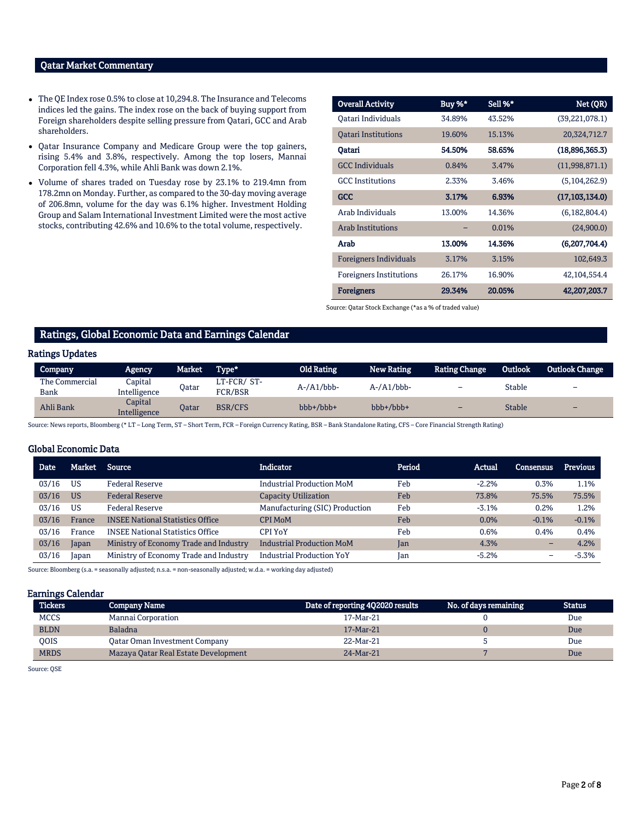#### Qatar Market Commentary

- The QE Index rose 0.5% to close at 10,294.8. The Insurance and Telecoms indices led the gains. The index rose on the back of buying support from Foreign shareholders despite selling pressure from Qatari, GCC and Arab shareholders.
- Qatar Insurance Company and Medicare Group were the top gainers, rising 5.4% and 3.8%, respectively. Among the top losers, Mannai Corporation fell 4.3%, while Ahli Bank was down 2.1%.
- Volume of shares traded on Tuesday rose by 23.1% to 219.4mn from 178.2mn on Monday. Further, as compared to the 30-day moving average of 206.8mn, volume for the day was 6.1% higher. Investment Holding Group and Salam International Investment Limited were the most active stocks, contributing 42.6% and 10.6% to the total volume, respectively.

| <b>Overall Activity</b>        | Buy %* | Sell %* | Net (QR)         |
|--------------------------------|--------|---------|------------------|
| Oatari Individuals             | 34.89% | 43.52%  | (39, 221, 078.1) |
| <b>Qatari Institutions</b>     | 19.60% | 15.13%  | 20,324,712.7     |
| Oatari                         | 54.50% | 58.65%  | (18,896,365.3)   |
| <b>GCC</b> Individuals         | 0.84%  | 3.47%   | (11,998,871.1)   |
| <b>GCC</b> Institutions        | 2.33%  | 3.46%   | (5,104,262.9)    |
| <b>GCC</b>                     | 3.17%  | 6.93%   | (17, 103, 134.0) |
| Arab Individuals               | 13.00% | 14.36%  | (6, 182, 804.4)  |
| <b>Arab Institutions</b>       |        | 0.01%   | (24,900.0)       |
| Arab                           | 13.00% | 14.36%  | (6,207,704.4)    |
| <b>Foreigners Individuals</b>  | 3.17%  | 3.15%   | 102,649.3        |
| <b>Foreigners Institutions</b> | 26.17% | 16.90%  | 42, 104, 554. 4  |
| <b>Foreigners</b>              | 29.34% | 20.05%  | 42,207,203.7     |

Source: Qatar Stock Exchange (\*as a % of traded value)

# Ratings, Global Economic Data and Earnings Calendar

#### Ratings Updates

| <b>Company</b>         | <b>Agency</b>           | Market | Type*                 | Old Rating        | <b>New Rating</b> | Rating Change | Outlook       | <b>Outlook Change</b> |
|------------------------|-------------------------|--------|-----------------------|-------------------|-------------------|---------------|---------------|-----------------------|
| The Commercial<br>Bank | Capital<br>Intelligence | Qatar  | LT-FCR/ST-<br>FCR/BSR | $A$ -/ $A1/bbb$ - | $A$ -/ $A1/bbb$ - | -             | Stable        | -                     |
| Ahli Bank              | Capital<br>Intelligence | Oatar  | <b>BSR/CFS</b>        | bbb+/bbb+         | bbb+/bbb+         | -             | <b>Stable</b> | -                     |

Source: News reports, Bloomberg (\* LT – Long Term, ST – Short Term, FCR – Foreign Currency Rating, BSR – Bank Standalone Rating, CFS – Core Financial Strength Rating)

#### Global Economic Data

| <b>Date</b> | Market    | <b>Source</b>                           | <b>Indicator</b>                 | Period | Actual  | Consensus | <b>Previous</b> |
|-------------|-----------|-----------------------------------------|----------------------------------|--------|---------|-----------|-----------------|
| 03/16       | <b>US</b> | <b>Federal Reserve</b>                  | <b>Industrial Production MoM</b> | Feb    | $-2.2%$ | 0.3%      | 1.1%            |
| 03/16       | <b>US</b> | <b>Federal Reserve</b>                  | <b>Capacity Utilization</b>      | Feb    | 73.8%   | 75.5%     | 75.5%           |
| 03/16       | US        | <b>Federal Reserve</b>                  | Manufacturing (SIC) Production   | Feb    | $-3.1%$ | 0.2%      | 1.2%            |
| 03/16       | France    | <b>INSEE National Statistics Office</b> | <b>CPI MoM</b>                   | Feb    | 0.0%    | $-0.1%$   | $-0.1%$         |
| 03/16       | France    | <b>INSEE National Statistics Office</b> | <b>CPI YoY</b>                   | Feb    | 0.6%    | 0.4%      | 0.4%            |
| 03/16       | Japan     | Ministry of Economy Trade and Industry  | <b>Industrial Production MoM</b> | Jan    | 4.3%    | -         | 4.2%            |
| 03/16       | Japan     | Ministry of Economy Trade and Industry  | <b>Industrial Production YoY</b> | Ian    | $-5.2%$ | -         | $-5.3%$         |

Source: Bloomberg (s.a. = seasonally adjusted; n.s.a. = non-seasonally adjusted; w.d.a. = working day adjusted)

#### Earnings Calendar

| <b>Tickers</b> | <b>Company Name</b>                  | Date of reporting 4Q2020 results | No. of days remaining | Status |
|----------------|--------------------------------------|----------------------------------|-----------------------|--------|
| <b>MCCS</b>    | Mannai Corporation                   | 17-Mar-21                        |                       | Due    |
| <b>BLDN</b>    | <b>Baladna</b>                       | 17-Mar-21                        |                       | Due    |
| <b>OOIS</b>    | Oatar Oman Investment Company        | 22-Mar-21                        |                       | Due    |
| <b>MRDS</b>    | Mazaya Qatar Real Estate Development | 24-Mar-21                        |                       | Due    |

Source: QSE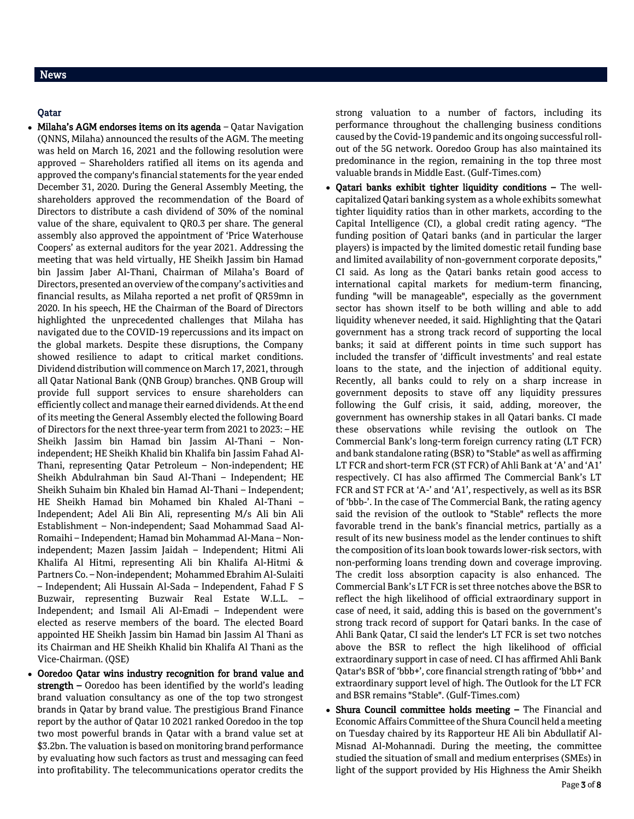# News

#### Qatar

- $\bullet$  Milaha's AGM endorses items on its agenda Qatar Navigation (QNNS, Milaha) announced the results of the AGM. The meeting was held on March 16, 2021 and the following resolution were approved – Shareholders ratified all items on its agenda and approved the company's financial statements for the year ended December 31, 2020. During the General Assembly Meeting, the shareholders approved the recommendation of the Board of Directors to distribute a cash dividend of 30% of the nominal value of the share, equivalent to QR0.3 per share. The general assembly also approved the appointment of 'Price Waterhouse Coopers' as external auditors for the year 2021. Addressing the meeting that was held virtually, HE Sheikh Jassim bin Hamad bin Jassim Jaber Al-Thani, Chairman of Milaha's Board of Directors, presented an overview of the company's activities and financial results, as Milaha reported a net profit of QR59mn in 2020. In his speech, HE the Chairman of the Board of Directors highlighted the unprecedented challenges that Milaha has navigated due to the COVID-19 repercussions and its impact on the global markets. Despite these disruptions, the Company showed resilience to adapt to critical market conditions. Dividend distribution will commence on March 17, 2021, through all Qatar National Bank (QNB Group) branches. QNB Group will provide full support services to ensure shareholders can efficiently collect and manage their earned dividends. At the end of its meeting the General Assembly elected the following Board of Directors for the next three-year term from 2021 to 2023: – HE Sheikh Jassim bin Hamad bin Jassim Al-Thani – Nonindependent; HE Sheikh Khalid bin Khalifa bin Jassim Fahad Al-Thani, representing Qatar Petroleum – Non-independent; HE Sheikh Abdulrahman bin Saud Al-Thani – Independent; HE Sheikh Suhaim bin Khaled bin Hamad Al-Thani – Independent; HE Sheikh Hamad bin Mohamed bin Khaled Al-Thani – Independent; Adel Ali Bin Ali, representing M/s Ali bin Ali Establishment – Non-independent; Saad Mohammad Saad Al-Romaihi – Independent; Hamad bin Mohammad Al-Mana – Nonindependent; Mazen Jassim Jaidah – Independent; Hitmi Ali Khalifa Al Hitmi, representing Ali bin Khalifa Al-Hitmi & Partners Co. – Non-independent; Mohammed Ebrahim Al-Sulaiti – Independent; Ali Hussain Al-Sada – Independent, Fahad F S Buzwair, representing Buzwair Real Estate W.L.L. – Independent; and Ismail Ali Al-Emadi – Independent were elected as reserve members of the board. The elected Board appointed HE Sheikh Jassim bin Hamad bin Jassim Al Thani as its Chairman and HE Sheikh Khalid bin Khalifa Al Thani as the Vice-Chairman. (QSE)
- Ooredoo Qatar wins industry recognition for brand value and strength – Ooredoo has been identified by the world's leading brand valuation consultancy as one of the top two strongest brands in Qatar by brand value. The prestigious Brand Finance report by the author of Qatar 10 2021 ranked Ooredoo in the top two most powerful brands in Qatar with a brand value set at \$3.2bn. The valuation is based on monitoring brand performance by evaluating how such factors as trust and messaging can feed into profitability. The telecommunications operator credits the

strong valuation to a number of factors, including its performance throughout the challenging business conditions caused by the Covid-19 pandemic and its ongoing successful rollout of the 5G network. Ooredoo Group has also maintained its predominance in the region, remaining in the top three most valuable brands in Middle East. (Gulf-Times.com)

- Qatari banks exhibit tighter liquidity conditions The wellcapitalized Qatari banking system as a whole exhibits somewhat tighter liquidity ratios than in other markets, according to the Capital Intelligence (CI), a global credit rating agency. "The funding position of Qatari banks (and in particular the larger players) is impacted by the limited domestic retail funding base and limited availability of non-government corporate deposits," CI said. As long as the Qatari banks retain good access to international capital markets for medium-term financing, funding "will be manageable", especially as the government sector has shown itself to be both willing and able to add liquidity whenever needed, it said. Highlighting that the Qatari government has a strong track record of supporting the local banks; it said at different points in time such support has included the transfer of 'difficult investments' and real estate loans to the state, and the injection of additional equity. Recently, all banks could to rely on a sharp increase in government deposits to stave off any liquidity pressures following the Gulf crisis, it said, adding, moreover, the government has ownership stakes in all Qatari banks. CI made these observations while revising the outlook on The Commercial Bank's long-term foreign currency rating (LT FCR) and bank standalone rating (BSR) to "Stable" as well as affirming LT FCR and short-term FCR (ST FCR) of Ahli Bank at 'A' and 'A1' respectively. CI has also affirmed The Commercial Bank's LT FCR and ST FCR at 'A-' and 'A1', respectively, as well as its BSR of 'bbb-'. In the case of The Commercial Bank, the rating agency said the revision of the outlook to "Stable" reflects the more favorable trend in the bank's financial metrics, partially as a result of its new business model as the lender continues to shift the composition of its loan book towards lower-risk sectors, with non-performing loans trending down and coverage improving. The credit loss absorption capacity is also enhanced. The Commercial Bank's LT FCR is set three notches above the BSR to reflect the high likelihood of official extraordinary support in case of need, it said, adding this is based on the government's strong track record of support for Qatari banks. In the case of Ahli Bank Qatar, CI said the lender's LT FCR is set two notches above the BSR to reflect the high likelihood of official extraordinary support in case of need. CI has affirmed Ahli Bank Qatar's BSR of 'bbb+', core financial strength rating of 'bbb+' and extraordinary support level of high. The Outlook for the LT FCR and BSR remains "Stable". (Gulf-Times.com)
- Shura Council committee holds meeting The Financial and Economic Affairs Committee of the Shura Council held a meeting on Tuesday chaired by its Rapporteur HE Ali bin Abdullatif Al-Misnad Al-Mohannadi. During the meeting, the committee studied the situation of small and medium enterprises (SMEs) in light of the support provided by His Highness the Amir Sheikh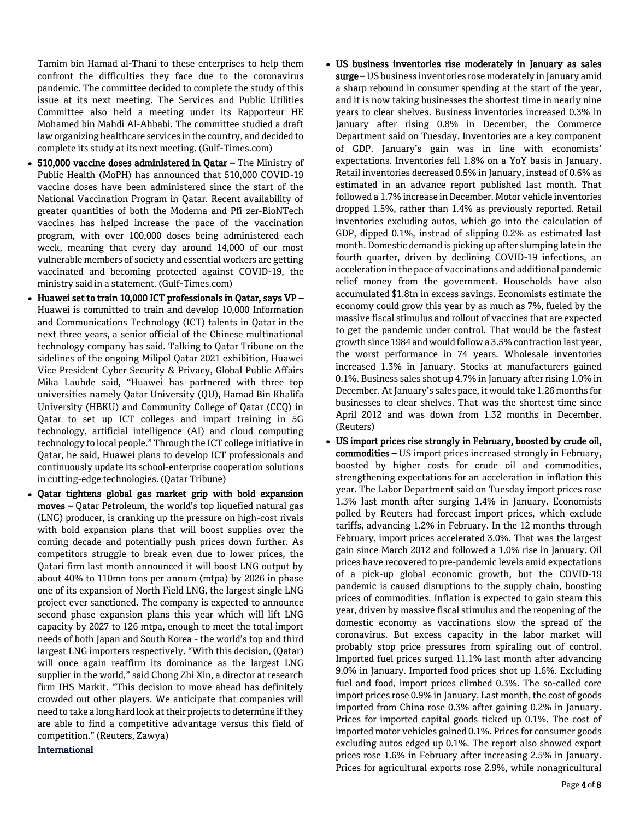Tamim bin Hamad al-Thani to these enterprises to help them confront the difficulties they face due to the coronavirus pandemic. The committee decided to complete the study of this issue at its next meeting. The Services and Public Utilities Committee also held a meeting under its Rapporteur HE Mohamed bin Mahdi Al-Ahbabi. The committee studied a draft law organizing healthcare services in the country, and decided to complete its study at its next meeting. (Gulf-Times.com)

- 510,000 vaccine doses administered in Qatar The Ministry of Public Health (MoPH) has announced that 510,000 COVID-19 vaccine doses have been administered since the start of the National Vaccination Program in Qatar. Recent availability of greater quantities of both the Moderna and Pfi zer-BioNTech vaccines has helped increase the pace of the vaccination program, with over 100,000 doses being administered each week, meaning that every day around 14,000 of our most vulnerable members of society and essential workers are getting vaccinated and becoming protected against COVID-19, the ministry said in a statement. (Gulf-Times.com)
- Huawei set to train 10,000 ICT professionals in Qatar, says VP Huawei is committed to train and develop 10,000 Information and Communications Technology (ICT) talents in Qatar in the next three years, a senior official of the Chinese multinational technology company has said. Talking to Qatar Tribune on the sidelines of the ongoing Milipol Qatar 2021 exhibition, Huawei Vice President Cyber Security & Privacy, Global Public Affairs Mika Lauhde said, "Huawei has partnered with three top universities namely Qatar University (QU), Hamad Bin Khalifa University (HBKU) and Community College of Qatar (CCQ) in Qatar to set up ICT colleges and impart training in 5G technology, artificial intelligence (AI) and cloud computing technology to local people." Through the ICT college initiative in Qatar, he said, Huawei plans to develop ICT professionals and continuously update its school-enterprise cooperation solutions in cutting-edge technologies. (Qatar Tribune)
- Qatar tightens global gas market grip with bold expansion moves – Qatar Petroleum, the world's top liquefied natural gas (LNG) producer, is cranking up the pressure on high-cost rivals with bold expansion plans that will boost supplies over the coming decade and potentially push prices down further. As competitors struggle to break even due to lower prices, the Qatari firm last month announced it will boost LNG output by about 40% to 110mn tons per annum (mtpa) by 2026 in phase one of its expansion of North Field LNG, the largest single LNG project ever sanctioned. The company is expected to announce second phase expansion plans this year which will lift LNG capacity by 2027 to 126 mtpa, enough to meet the total import needs of both Japan and South Korea - the world's top and third largest LNG importers respectively. "With this decision, (Qatar) will once again reaffirm its dominance as the largest LNG supplier in the world," said Chong Zhi Xin, a director at research firm IHS Markit. "This decision to move ahead has definitely crowded out other players. We anticipate that companies will need to take a long hard look at their projects to determine if they are able to find a competitive advantage versus this field of competition." (Reuters, Zawya)

International

- US business inventories rise moderately in January as sales surge – US business inventories rose moderately in January amid a sharp rebound in consumer spending at the start of the year, and it is now taking businesses the shortest time in nearly nine years to clear shelves. Business inventories increased 0.3% in January after rising 0.8% in December, the Commerce Department said on Tuesday. Inventories are a key component of GDP. January's gain was in line with economists' expectations. Inventories fell 1.8% on a YoY basis in January. Retail inventories decreased 0.5% in January, instead of 0.6% as estimated in an advance report published last month. That followed a 1.7% increase in December. Motor vehicle inventories dropped 1.5%, rather than 1.4% as previously reported. Retail inventories excluding autos, which go into the calculation of GDP, dipped 0.1%, instead of slipping 0.2% as estimated last month. Domestic demand is picking up after slumping late in the fourth quarter, driven by declining COVID-19 infections, an acceleration in the pace of vaccinations and additional pandemic relief money from the government. Households have also accumulated \$1.8tn in excess savings. Economists estimate the economy could grow this year by as much as 7%, fueled by the massive fiscal stimulus and rollout of vaccines that are expected to get the pandemic under control. That would be the fastest growth since 1984 and would follow a 3.5% contraction last year, the worst performance in 74 years. Wholesale inventories increased 1.3% in January. Stocks at manufacturers gained 0.1%. Business sales shot up 4.7% in January after rising 1.0% in December. At January's sales pace, it would take 1.26 months for businesses to clear shelves. That was the shortest time since April 2012 and was down from 1.32 months in December. (Reuters)
- US import prices rise strongly in February, boosted by crude oil, commodities – US import prices increased strongly in February, boosted by higher costs for crude oil and commodities, strengthening expectations for an acceleration in inflation this year. The Labor Department said on Tuesday import prices rose 1.3% last month after surging 1.4% in January. Economists polled by Reuters had forecast import prices, which exclude tariffs, advancing 1.2% in February. In the 12 months through February, import prices accelerated 3.0%. That was the largest gain since March 2012 and followed a 1.0% rise in January. Oil prices have recovered to pre-pandemic levels amid expectations of a pick-up global economic growth, but the COVID-19 pandemic is caused disruptions to the supply chain, boosting prices of commodities. Inflation is expected to gain steam this year, driven by massive fiscal stimulus and the reopening of the domestic economy as vaccinations slow the spread of the coronavirus. But excess capacity in the labor market will probably stop price pressures from spiraling out of control. Imported fuel prices surged 11.1% last month after advancing 9.0% in January. Imported food prices shot up 1.6%. Excluding fuel and food, import prices climbed 0.3%. The so-called core import prices rose 0.9% in January. Last month, the cost of goods imported from China rose 0.3% after gaining 0.2% in January. Prices for imported capital goods ticked up 0.1%. The cost of imported motor vehicles gained 0.1%. Prices for consumer goods excluding autos edged up 0.1%. The report also showed export prices rose 1.6% in February after increasing 2.5% in January. Prices for agricultural exports rose 2.9%, while nonagricultural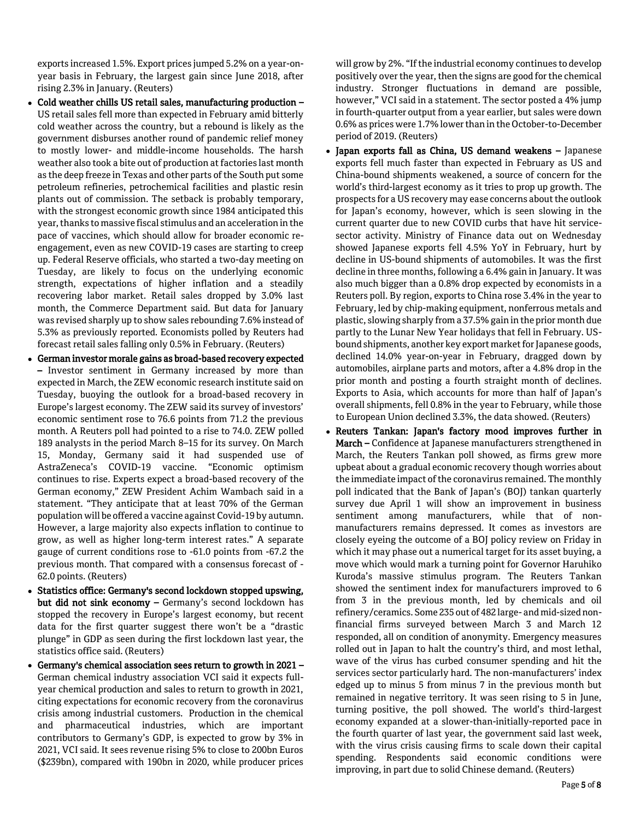exports increased 1.5%. Export prices jumped 5.2% on a year-onyear basis in February, the largest gain since June 2018, after rising 2.3% in January. (Reuters)

- Cold weather chills US retail sales, manufacturing production US retail sales fell more than expected in February amid bitterly cold weather across the country, but a rebound is likely as the government disburses another round of pandemic relief money to mostly lower- and middle-income households. The harsh weather also took a bite out of production at factories last month as the deep freeze in Texas and other parts of the South put some petroleum refineries, petrochemical facilities and plastic resin plants out of commission. The setback is probably temporary, with the strongest economic growth since 1984 anticipated this year, thanks to massive fiscal stimulus and an acceleration in the pace of vaccines, which should allow for broader economic reengagement, even as new COVID-19 cases are starting to creep up. Federal Reserve officials, who started a two-day meeting on Tuesday, are likely to focus on the underlying economic strength, expectations of higher inflation and a steadily recovering labor market. Retail sales dropped by 3.0% last month, the Commerce Department said. But data for January was revised sharply up to show sales rebounding 7.6% instead of 5.3% as previously reported. Economists polled by Reuters had forecast retail sales falling only 0.5% in February. (Reuters)
- German investor morale gains as broad-based recovery expected – Investor sentiment in Germany increased by more than expected in March, the ZEW economic research institute said on Tuesday, buoying the outlook for a broad-based recovery in Europe's largest economy. The ZEW said its survey of investors' economic sentiment rose to 76.6 points from 71.2 the previous month. A Reuters poll had pointed to a rise to 74.0. ZEW polled 189 analysts in the period March 8–15 for its survey. On March 15, Monday, Germany said it had suspended use of AstraZeneca's COVID-19 vaccine. "Economic optimism continues to rise. Experts expect a broad-based recovery of the German economy," ZEW President Achim Wambach said in a statement. "They anticipate that at least 70% of the German population will be offered a vaccine against Covid-19 by autumn. However, a large majority also expects inflation to continue to grow, as well as higher long-term interest rates." A separate gauge of current conditions rose to -61.0 points from -67.2 the previous month. That compared with a consensus forecast of - 62.0 points. (Reuters)
- Statistics office: Germany's second lockdown stopped upswing, but did not sink economy – Germany's second lockdown has stopped the recovery in Europe's largest economy, but recent data for the first quarter suggest there won't be a "drastic plunge" in GDP as seen during the first lockdown last year, the statistics office said. (Reuters)
- Germany's chemical association sees return to growth in 2021 German chemical industry association VCI said it expects fullyear chemical production and sales to return to growth in 2021, citing expectations for economic recovery from the coronavirus crisis among industrial customers. Production in the chemical and pharmaceutical industries, which are important contributors to Germany's GDP, is expected to grow by 3% in 2021, VCI said. It sees revenue rising 5% to close to 200bn Euros (\$239bn), compared with 190bn in 2020, while producer prices

will grow by 2%. "If the industrial economy continues to develop positively over the year, then the signs are good for the chemical industry. Stronger fluctuations in demand are possible, however," VCI said in a statement. The sector posted a 4% jump in fourth-quarter output from a year earlier, but sales were down 0.6% as prices were 1.7% lower than in the October-to-December period of 2019. (Reuters)

- Japan exports fall as China, US demand weakens Japanese exports fell much faster than expected in February as US and China-bound shipments weakened, a source of concern for the world's third-largest economy as it tries to prop up growth. The prospects for a US recovery may ease concerns about the outlook for Japan's economy, however, which is seen slowing in the current quarter due to new COVID curbs that have hit servicesector activity. Ministry of Finance data out on Wednesday showed Japanese exports fell 4.5% YoY in February, hurt by decline in US-bound shipments of automobiles. It was the first decline in three months, following a 6.4% gain in January. It was also much bigger than a 0.8% drop expected by economists in a Reuters poll. By region, exports to China rose 3.4% in the year to February, led by chip-making equipment, nonferrous metals and plastic, slowing sharply from a 37.5% gain in the prior month due partly to the Lunar New Year holidays that fell in February. USbound shipments, another key export market for Japanese goods, declined 14.0% year-on-year in February, dragged down by automobiles, airplane parts and motors, after a 4.8% drop in the prior month and posting a fourth straight month of declines. Exports to Asia, which accounts for more than half of Japan's overall shipments, fell 0.8% in the year to February, while those to European Union declined 3.3%, the data showed. (Reuters)
- Reuters Tankan: Japan's factory mood improves further in March – Confidence at Japanese manufacturers strengthened in March, the Reuters Tankan poll showed, as firms grew more upbeat about a gradual economic recovery though worries about the immediate impact of the coronavirus remained. The monthly poll indicated that the Bank of Japan's (BOJ) tankan quarterly survey due April 1 will show an improvement in business sentiment among manufacturers, while that of nonmanufacturers remains depressed. It comes as investors are closely eyeing the outcome of a BOJ policy review on Friday in which it may phase out a numerical target for its asset buying, a move which would mark a turning point for Governor Haruhiko Kuroda's massive stimulus program. The Reuters Tankan showed the sentiment index for manufacturers improved to 6 from 3 in the previous month, led by chemicals and oil refinery/ceramics. Some 235 out of 482 large- and mid-sized nonfinancial firms surveyed between March 3 and March 12 responded, all on condition of anonymity. Emergency measures rolled out in Japan to halt the country's third, and most lethal, wave of the virus has curbed consumer spending and hit the services sector particularly hard. The non-manufacturers' index edged up to minus 5 from minus 7 in the previous month but remained in negative territory. It was seen rising to 5 in June, turning positive, the poll showed. The world's third-largest economy expanded at a slower-than-initially-reported pace in the fourth quarter of last year, the government said last week, with the virus crisis causing firms to scale down their capital spending. Respondents said economic conditions were improving, in part due to solid Chinese demand. (Reuters)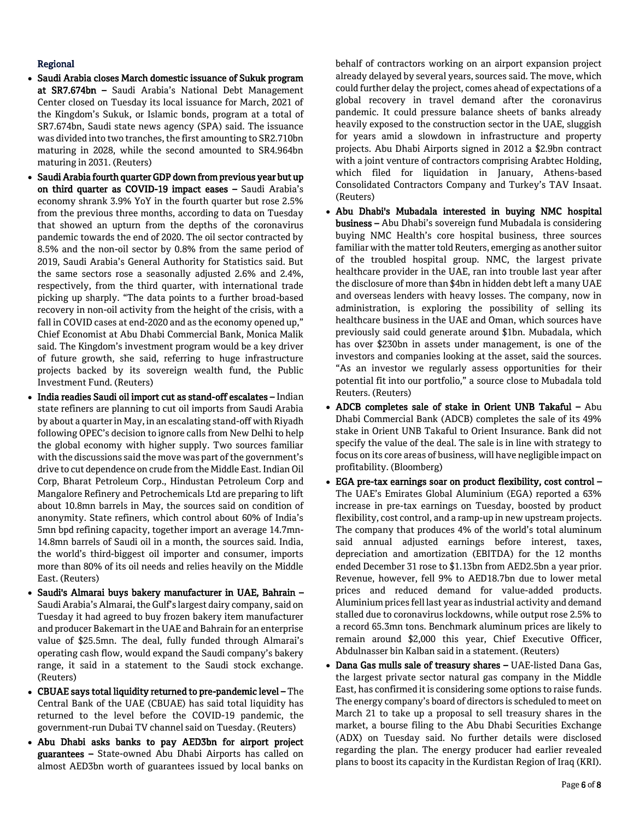# Regional

- Saudi Arabia closes March domestic issuance of Sukuk program at SR7.674bn – Saudi Arabia's National Debt Management Center closed on Tuesday its local issuance for March, 2021 of the Kingdom's Sukuk, or Islamic bonds, program at a total of SR7.674bn, Saudi state news agency (SPA) said. The issuance was divided into two tranches, the first amounting to SR2.710bn maturing in 2028, while the second amounted to SR4.964bn maturing in 2031. (Reuters)
- Saudi Arabia fourth quarter GDP down from previous year but up on third quarter as COVID-19 impact eases – Saudi Arabia's economy shrank 3.9% YoY in the fourth quarter but rose 2.5% from the previous three months, according to data on Tuesday that showed an upturn from the depths of the coronavirus pandemic towards the end of 2020. The oil sector contracted by 8.5% and the non-oil sector by 0.8% from the same period of 2019, Saudi Arabia's General Authority for Statistics said. But the same sectors rose a seasonally adjusted 2.6% and 2.4%, respectively, from the third quarter, with international trade picking up sharply. "The data points to a further broad-based recovery in non-oil activity from the height of the crisis, with a fall in COVID cases at end-2020 and as the economy opened up," Chief Economist at Abu Dhabi Commercial Bank, Monica Malik said. The Kingdom's investment program would be a key driver of future growth, she said, referring to huge infrastructure projects backed by its sovereign wealth fund, the Public Investment Fund. (Reuters)
- India readies Saudi oil import cut as stand-off escalates Indian state refiners are planning to cut oil imports from Saudi Arabia by about a quarter in May, in an escalating stand-off with Riyadh following OPEC's decision to ignore calls from New Delhi to help the global economy with higher supply. Two sources familiar with the discussions said the move was part of the government's drive to cut dependence on crude from the Middle East. Indian Oil Corp, Bharat Petroleum Corp., Hindustan Petroleum Corp and Mangalore Refinery and Petrochemicals Ltd are preparing to lift about 10.8mn barrels in May, the sources said on condition of anonymity. State refiners, which control about 60% of India's 5mn bpd refining capacity, together import an average 14.7mn-14.8mn barrels of Saudi oil in a month, the sources said. India, the world's third-biggest oil importer and consumer, imports more than 80% of its oil needs and relies heavily on the Middle East. (Reuters)
- Saudi's Almarai buys bakery manufacturer in UAE, Bahrain Saudi Arabia's Almarai, the Gulf's largest dairy company, said on Tuesday it had agreed to buy frozen bakery item manufacturer and producer Bakemart in the UAE and Bahrain for an enterprise value of \$25.5mn. The deal, fully funded through Almarai's operating cash flow, would expand the Saudi company's bakery range, it said in a statement to the Saudi stock exchange. (Reuters)
- CBUAE says total liquidity returned to pre-pandemic level The Central Bank of the UAE (CBUAE) has said total liquidity has returned to the level before the COVID-19 pandemic, the government-run Dubai TV channel said on Tuesday. (Reuters)
- Abu Dhabi asks banks to pay AED3bn for airport project guarantees – State-owned Abu Dhabi Airports has called on almost AED3bn worth of guarantees issued by local banks on

behalf of contractors working on an airport expansion project already delayed by several years, sources said. The move, which could further delay the project, comes ahead of expectations of a global recovery in travel demand after the coronavirus pandemic. It could pressure balance sheets of banks already heavily exposed to the construction sector in the UAE, sluggish for years amid a slowdown in infrastructure and property projects. Abu Dhabi Airports signed in 2012 a \$2.9bn contract with a joint venture of contractors comprising Arabtec Holding, which filed for liquidation in January, Athens-based Consolidated Contractors Company and Turkey's TAV Insaat. (Reuters)

- Abu Dhabi's Mubadala interested in buying NMC hospital business – Abu Dhabi's sovereign fund Mubadala is considering buying NMC Health's core hospital business, three sources familiar with the matter told Reuters, emerging as another suitor of the troubled hospital group. NMC, the largest private healthcare provider in the UAE, ran into trouble last year after the disclosure of more than \$4bn in hidden debt left a many UAE and overseas lenders with heavy losses. The company, now in administration, is exploring the possibility of selling its healthcare business in the UAE and Oman, which sources have previously said could generate around \$1bn. Mubadala, which has over \$230bn in assets under management, is one of the investors and companies looking at the asset, said the sources. "As an investor we regularly assess opportunities for their potential fit into our portfolio," a source close to Mubadala told Reuters. (Reuters)
- ADCB completes sale of stake in Orient UNB Takaful Abu Dhabi Commercial Bank (ADCB) completes the sale of its 49% stake in Orient UNB Takaful to Orient Insurance. Bank did not specify the value of the deal. The sale is in line with strategy to focus on its core areas of business, will have negligible impact on profitability. (Bloomberg)
- EGA pre-tax earnings soar on product flexibility, cost control The UAE's Emirates Global Aluminium (EGA) reported a 63% increase in pre-tax earnings on Tuesday, boosted by product flexibility, cost control, and a ramp-up in new upstream projects. The company that produces 4% of the world's total aluminum said annual adjusted earnings before interest, taxes, depreciation and amortization (EBITDA) for the 12 months ended December 31 rose to \$1.13bn from AED2.5bn a year prior. Revenue, however, fell 9% to AED18.7bn due to lower metal prices and reduced demand for value-added products. Aluminium prices fell last year as industrial activity and demand stalled due to coronavirus lockdowns, while output rose 2.5% to a record 65.3mn tons. Benchmark aluminum prices are likely to remain around \$2,000 this year, Chief Executive Officer, Abdulnasser bin Kalban said in a statement. (Reuters)
- Dana Gas mulls sale of treasury shares UAE-listed Dana Gas, the largest private sector natural gas company in the Middle East, has confirmed it is considering some options to raise funds. The energy company's board of directors is scheduled to meet on March 21 to take up a proposal to sell treasury shares in the market, a bourse filing to the Abu Dhabi Securities Exchange (ADX) on Tuesday said. No further details were disclosed regarding the plan. The energy producer had earlier revealed plans to boost its capacity in the Kurdistan Region of Iraq (KRI).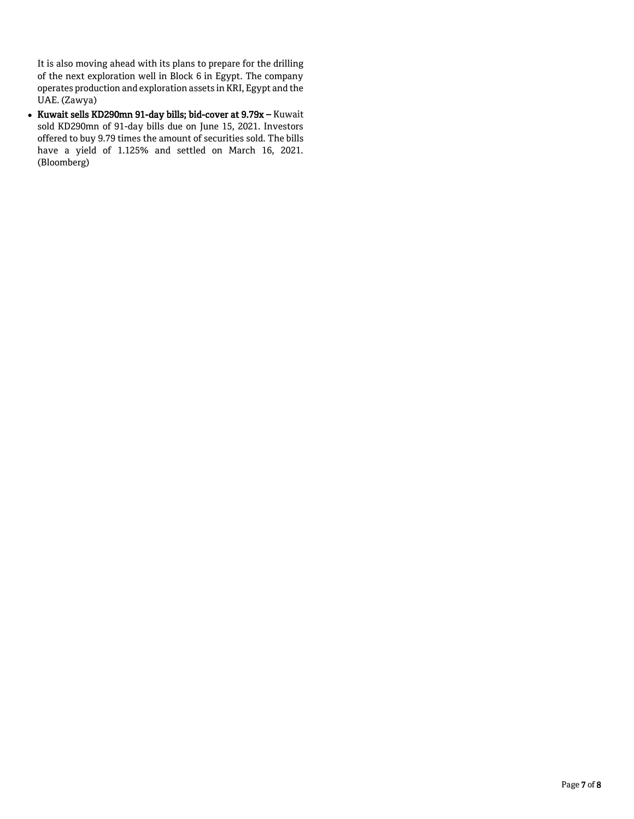It is also moving ahead with its plans to prepare for the drilling of the next exploration well in Block 6 in Egypt. The company operates production and exploration assets in KRI, Egypt and the UAE. (Zawya)

 Kuwait sells KD290mn 91-day bills; bid-cover at 9.79x – Kuwait sold KD290mn of 91-day bills due on June 15, 2021. Investors offered to buy 9.79 times the amount of securities sold. The bills have a yield of 1.125% and settled on March 16, 2021. (Bloomberg)